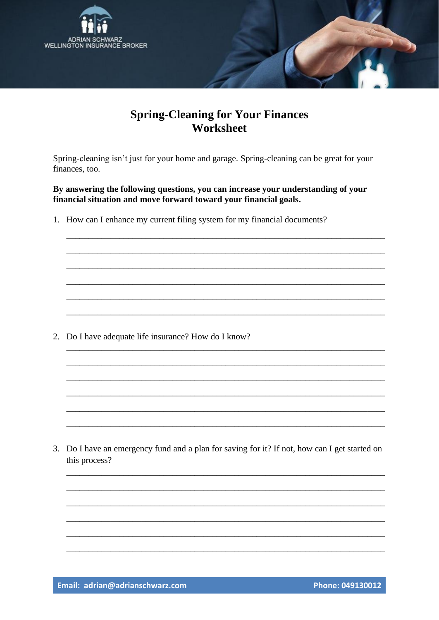

## **Spring-Cleaning for Your Finances** Worksheet

Spring-cleaning isn't just for your home and garage. Spring-cleaning can be great for your finances, too.

By answering the following questions, you can increase your understanding of your financial situation and move forward toward your financial goals.

1. How can I enhance my current filing system for my financial documents?

2. Do I have adequate life insurance? How do I know?

3. Do I have an emergency fund and a plan for saving for it? If not, how can I get started on this process?